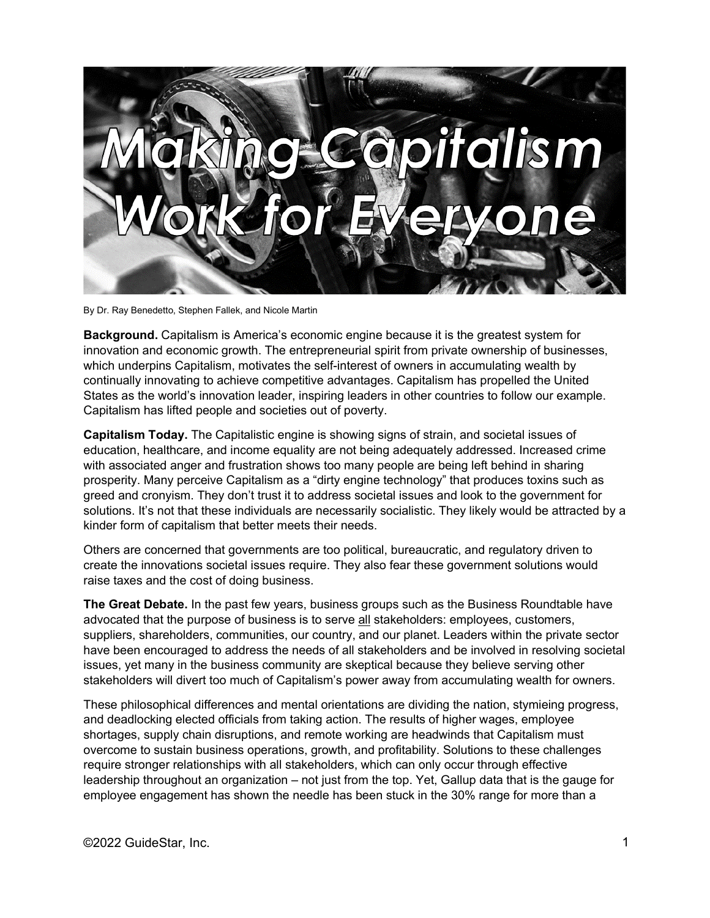

By Dr. Ray Benedetto, Stephen Fallek, and Nicole Martin

**Background.** Capitalism is America's economic engine because it is the greatest system for innovation and economic growth. The entrepreneurial spirit from private ownership of businesses, which underpins Capitalism, motivates the self-interest of owners in accumulating wealth by continually innovating to achieve competitive advantages. Capitalism has propelled the United States as the world's innovation leader, inspiring leaders in other countries to follow our example. Capitalism has lifted people and societies out of poverty.

**Capitalism Today.** The Capitalistic engine is showing signs of strain, and societal issues of education, healthcare, and income equality are not being adequately addressed. Increased crime with associated anger and frustration shows too many people are being left behind in sharing prosperity. Many perceive Capitalism as a "dirty engine technology" that produces toxins such as greed and cronyism. They don't trust it to address societal issues and look to the government for solutions. It's not that these individuals are necessarily socialistic. They likely would be attracted by a kinder form of capitalism that better meets their needs.

Others are concerned that governments are too political, bureaucratic, and regulatory driven to create the innovations societal issues require. They also fear these government solutions would raise taxes and the cost of doing business.

**The Great Debate.** In the past few years, business groups such as the Business Roundtable have advocated that the purpose of business is to serve all stakeholders: employees, customers, suppliers, shareholders, communities, our country, and our planet. Leaders within the private sector have been encouraged to address the needs of all stakeholders and be involved in resolving societal issues, yet many in the business community are skeptical because they believe serving other stakeholders will divert too much of Capitalism's power away from accumulating wealth for owners.

These philosophical differences and mental orientations are dividing the nation, stymieing progress, and deadlocking elected officials from taking action. The results of higher wages, employee shortages, supply chain disruptions, and remote working are headwinds that Capitalism must overcome to sustain business operations, growth, and profitability. Solutions to these challenges require stronger relationships with all stakeholders, which can only occur through effective leadership throughout an organization – not just from the top. Yet, Gallup data that is the gauge for employee engagement has shown the needle has been stuck in the 30% range for more than a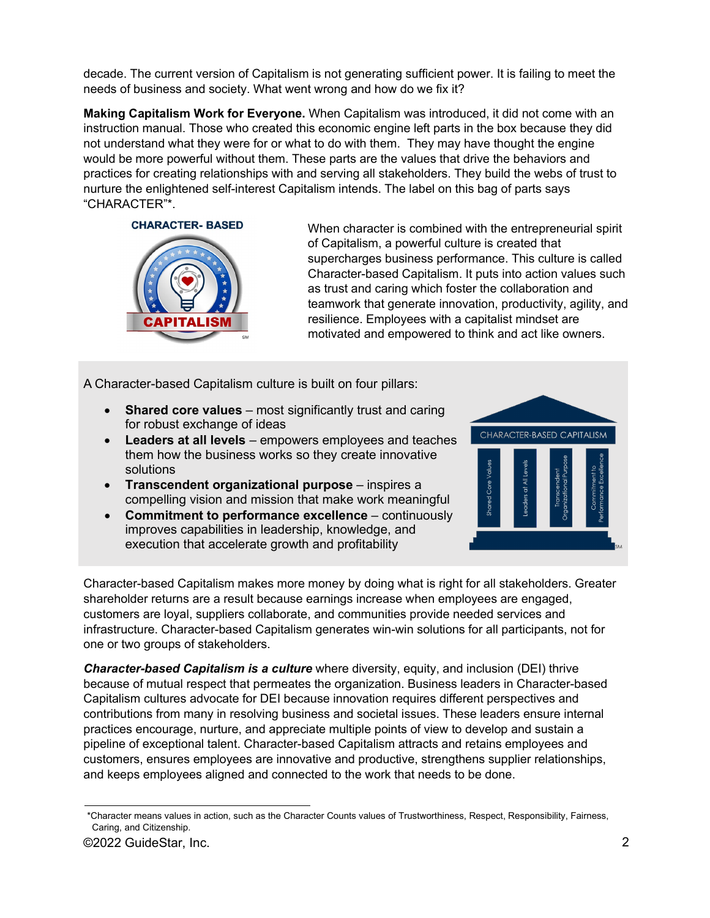decade. The current version of Capitalism is not generating sufficient power. It is failing to meet the needs of business and society. What went wrong and how do we fix it?

**Making Capitalism Work for Everyone.** When Capitalism was introduced, it did not come with an instruction manual. Those who created this economic engine left parts in the box because they did not understand what they were for or what to do with them. They may have thought the engine would be more powerful without them. These parts are the values that drive the behaviors and practices for creating relationships with and serving all stakeholders. They build the webs of trust to nurture the enlightened self-interest Capitalism intends. The label on this bag of parts says "CHARACTER"\*.





When character is combined with the entrepreneurial spirit of Capitalism, a powerful culture is created that supercharges business performance. This culture is called Character-based Capitalism. It puts into action values such as trust and caring which foster the collaboration and teamwork that generate innovation, productivity, agility, and resilience. Employees with a capitalist mindset are motivated and empowered to think and act like owners.

A Character-based Capitalism culture is built on four pillars:

- **Shared core values** most significantly trust and caring for robust exchange of ideas
- **Leaders at all levels** empowers employees and teaches them how the business works so they create innovative solutions
- **Transcendent organizational purpose** inspires a compelling vision and mission that make work meaningful
- **Commitment to performance excellence** continuously improves capabilities in leadership, knowledge, and execution that accelerate growth and profitability



Character-based Capitalism makes more money by doing what is right for all stakeholders. Greater shareholder returns are a result because earnings increase when employees are engaged, customers are loyal, suppliers collaborate, and communities provide needed services and infrastructure. Character-based Capitalism generates win-win solutions for all participants, not for one or two groups of stakeholders.

*Character-based Capitalism is a culture* where diversity, equity, and inclusion (DEI) thrive because of mutual respect that permeates the organization. Business leaders in Character-based Capitalism cultures advocate for DEI because innovation requires different perspectives and contributions from many in resolving business and societal issues. These leaders ensure internal practices encourage, nurture, and appreciate multiple points of view to develop and sustain a pipeline of exceptional talent. Character-based Capitalism attracts and retains employees and customers, ensures employees are innovative and productive, strengthens supplier relationships, and keeps employees aligned and connected to the work that needs to be done.

<sup>\*</sup>Character means values in action, such as the Character Counts values of Trustworthiness, Respect, Responsibility, Fairness, Caring, and Citizenship.